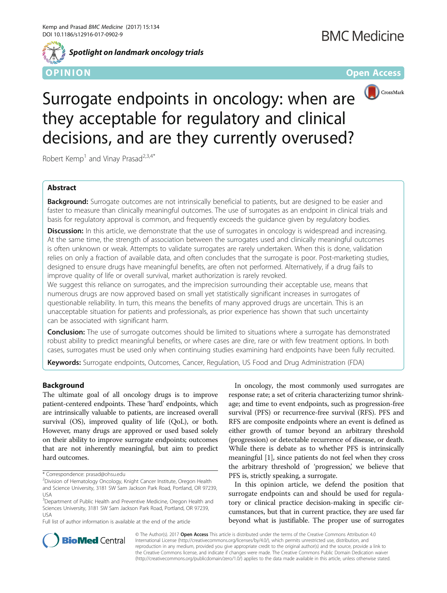



# Surrogate endpoints in oncology: when are they acceptable for regulatory and clinical decisions, and are they currently overused?

Robert  $Kemp<sup>1</sup>$  and Vinay Prasad<sup>2,3,4\*</sup>

# Abstract

**Background:** Surrogate outcomes are not intrinsically beneficial to patients, but are designed to be easier and faster to measure than clinically meaningful outcomes. The use of surrogates as an endpoint in clinical trials and basis for regulatory approval is common, and frequently exceeds the guidance given by regulatory bodies.

**Discussion:** In this article, we demonstrate that the use of surrogates in oncology is widespread and increasing. At the same time, the strength of association between the surrogates used and clinically meaningful outcomes is often unknown or weak. Attempts to validate surrogates are rarely undertaken. When this is done, validation relies on only a fraction of available data, and often concludes that the surrogate is poor. Post-marketing studies, designed to ensure drugs have meaningful benefits, are often not performed. Alternatively, if a drug fails to improve quality of life or overall survival, market authorization is rarely revoked.

We suggest this reliance on surrogates, and the imprecision surrounding their acceptable use, means that numerous drugs are now approved based on small yet statistically significant increases in surrogates of questionable reliability. In turn, this means the benefits of many approved drugs are uncertain. This is an unacceptable situation for patients and professionals, as prior experience has shown that such uncertainty can be associated with significant harm.

**Conclusion:** The use of surrogate outcomes should be limited to situations where a surrogate has demonstrated robust ability to predict meaningful benefits, or where cases are dire, rare or with few treatment options. In both cases, surrogates must be used only when continuing studies examining hard endpoints have been fully recruited.

Keywords: Surrogate endpoints, Outcomes, Cancer, Regulation, US Food and Drug Administration (FDA)

## Background

The ultimate goal of all oncology drugs is to improve patient-centered endpoints. These 'hard' endpoints, which are intrinsically valuable to patients, are increased overall survival (OS), improved quality of life (QoL), or both. However, many drugs are approved or used based solely on their ability to improve surrogate endpoints; outcomes that are not inherently meaningful, but aim to predict hard outcomes.

Full list of author information is available at the end of the article

In oncology, the most commonly used surrogates are response rate; a set of criteria characterizing tumor shrinkage; and time to event endpoints, such as progression-free survival (PFS) or recurrence-free survival (RFS). PFS and RFS are composite endpoints where an event is defined as either growth of tumor beyond an arbitrary threshold (progression) or detectable recurrence of disease, or death. While there is debate as to whether PFS is intrinsically meaningful [\[1\]](#page-5-0), since patients do not feel when they cross the arbitrary threshold of 'progression,' we believe that PFS is, strictly speaking, a surrogate.

In this opinion article, we defend the position that surrogate endpoints can and should be used for regulatory or clinical practice decision-making in specific circumstances, but that in current practice, they are used far beyond what is justifiable. The proper use of surrogates



© The Author(s). 2017 **Open Access** This article is distributed under the terms of the Creative Commons Attribution 4.0 International License [\(http://creativecommons.org/licenses/by/4.0/](http://creativecommons.org/licenses/by/4.0/)), which permits unrestricted use, distribution, and reproduction in any medium, provided you give appropriate credit to the original author(s) and the source, provide a link to the Creative Commons license, and indicate if changes were made. The Creative Commons Public Domain Dedication waiver [\(http://creativecommons.org/publicdomain/zero/1.0/](http://creativecommons.org/publicdomain/zero/1.0/)) applies to the data made available in this article, unless otherwise stated.

<sup>\*</sup> Correspondence: [prasad@ohsu.edu](mailto:prasad@ohsu.edu) <sup>2</sup>

 $2$ Division of Hematology Oncology, Knight Cancer Institute, Oregon Health and Science University, 3181 SW Sam Jackson Park Road, Portland, OR 97239, USA

<sup>&</sup>lt;sup>3</sup>Department of Public Health and Preventive Medicine, Oregon Health and Sciences University, 3181 SW Sam Jackson Park Road, Portland, OR 97239, USA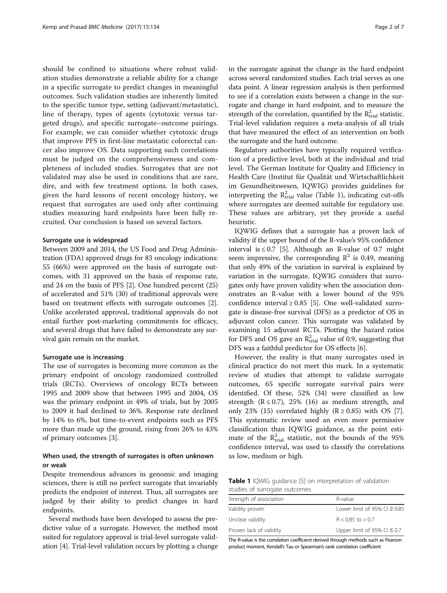should be confined to situations where robust validation studies demonstrate a reliable ability for a change in a specific surrogate to predict changes in meaningful outcomes. Such validation studies are inherently limited to the specific tumor type, setting (adjuvant/metastatic), line of therapy, types of agents (cytotoxic versus targeted drugs), and specific surrogate–outcome pairings. For example, we can consider whether cytotoxic drugs that improve PFS in first-line metastatic colorectal cancer also improve OS. Data supporting such correlations must be judged on the comprehensiveness and completeness of included studies. Surrogates that are not validated may also be used in conditions that are rare, dire, and with few treatment options. In both cases, given the hard lessons of recent oncology history, we request that surrogates are used only after continuing studies measuring hard endpoints have been fully recruited. Our conclusion is based on several factors.

#### Surrogate use is widespread

Between 2009 and 2014, the US Food and Drug Administration (FDA) approved drugs for 83 oncology indications: 55 (66%) were approved on the basis of surrogate outcomes, with 31 approved on the basis of response rate, and 24 on the basis of PFS [\[2](#page-5-0)]. One hundred percent (25) of accelerated and 51% (30) of traditional approvals were based on treatment effects with surrogate outcomes [[2](#page-5-0)]. Unlike accelerated approval, traditional approvals do not entail further post-marketing commitments for efficacy, and several drugs that have failed to demonstrate any survival gain remain on the market.

#### Surrogate use is increasing

The use of surrogates is becoming more common as the primary endpoint of oncology randomized controlled trials (RCTs). Overviews of oncology RCTs between 1995 and 2009 show that between 1995 and 2004, OS was the primary endpoint in 49% of trials, but by 2005 to 2009 it had declined to 36%. Response rate declined by 14% to 6%, but time-to-event endpoints such as PFS more than made up the ground, rising from 26% to 43% of primary outcomes [\[3](#page-5-0)].

## When used, the strength of surrogates is often unknown or weak

Despite tremendous advances in genomic and imaging sciences, there is still no perfect surrogate that invariably predicts the endpoint of interest. Thus, all surrogates are judged by their ability to predict changes in hard endpoints.

Several methods have been developed to assess the predictive value of a surrogate. However, the method most suited for regulatory approval is trial-level surrogate validation [[4](#page-5-0)]. Trial-level validation occurs by plotting a change in the surrogate against the change in the hard endpoint across several randomized studies. Each trial serves as one data point. A linear regression analysis is then performed to see if a correlation exists between a change in the surrogate and change in hard endpoint, and to measure the strength of the correlation, quantified by the  $R_{\text{trial}}^2$  statistic. Trial-level validation requires a meta-analysis of all trials that have measured the effect of an intervention on both the surrogate and the hard outcome.

Regulatory authorities have typically required verification of a predictive level, both at the individual and trial level. The German Institute for Quality and Efficiency in Health Care (Institut für Qualität und Wirtschaftlichkeit im Gesundheitswesen, IQWIG) provides guidelines for interpreting the  $R_{trial}^2$  value (Table 1), indicating cut-offs where surrogates are deemed suitable for regulatory use. These values are arbitrary, yet they provide a useful heuristic.

IQWIG defines that a surrogate has a proven lack of validity if the upper bound of the R-value's 95% confidence interval is  $\leq 0.7$  [[5\]](#page-5-0). Although an R-value of 0.7 might seem impressive, the corresponding  $\mathbb{R}^2$  is 0.49, meaning that only 49% of the variation in survival is explained by variation in the surrogate. IQWIG considers that surrogates only have proven validity when the association demonstrates an R-value with a lower bound of the 95% confidence interval  $\geq 0.85$  [[5\]](#page-5-0). One well-validated surrogate is disease-free survival (DFS) as a predictor of OS in adjuvant colon cancer. This surrogate was validated by examining 15 adjuvant RCTs. Plotting the hazard ratios for DFS and OS gave an  $R_{trial}^2$  value of 0.9, suggesting that DFS was a faithful predictor for OS effects [\[6](#page-5-0)].

However, the reality is that many surrogates used in clinical practice do not meet this mark. In a systematic review of studies that attempt to validate surrogate outcomes, 65 specific surrogate survival pairs were identified. Of these, 52% (34) were classified as low strength  $(R \le 0.7)$ , 25% (16) as medium strength, and only 23% (15) correlated highly  $(R \ge 0.85)$  with OS [\[7](#page-5-0)]. This systematic review used an even more permissive classification than IQWIG guidance, as the point estimate of the  $R_{trial}^2$  statistic, not the bounds of the 95% confidence interval, was used to classify the correlations as low, medium or high.

|  |                               | <b>Table 1</b> IQWIG guidance [5] on interpretation of validation |  |
|--|-------------------------------|-------------------------------------------------------------------|--|
|  | studies of surrogate outcomes |                                                                   |  |

| Strength of association | R-value                          |
|-------------------------|----------------------------------|
| Validity proven         | $1$ ower limit of 95% CI ≥ 0.85  |
| Unclear validity        | $R < 0.85$ to $> 0.7$            |
| Proven lack of validity | Upper limit of 95% $CI \leq 0.7$ |

The R-value is the correlation coefficient derived through methods such as Pearson product moment, Kendall's Tau or Spearman's rank correlation coefficient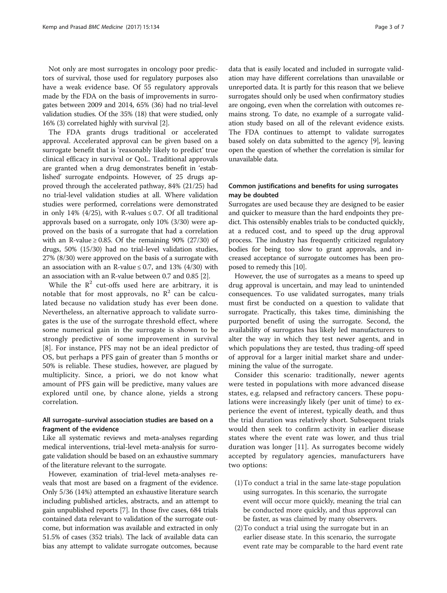Not only are most surrogates in oncology poor predictors of survival, those used for regulatory purposes also have a weak evidence base. Of 55 regulatory approvals made by the FDA on the basis of improvements in surrogates between 2009 and 2014, 65% (36) had no trial-level validation studies. Of the 35% (18) that were studied, only 16% (3) correlated highly with survival [[2\]](#page-5-0).

The FDA grants drugs traditional or accelerated approval. Accelerated approval can be given based on a surrogate benefit that is 'reasonably likely to predict' true clinical efficacy in survival or QoL. Traditional approvals are granted when a drug demonstrates benefit in 'established' surrogate endpoints. However, of 25 drugs approved through the accelerated pathway, 84% (21/25) had no trial-level validation studies at all. Where validation studies were performed, correlations were demonstrated in only 14% (4/25), with R-values  $\leq$  0.7. Of all traditional approvals based on a surrogate, only 10% (3/30) were approved on the basis of a surrogate that had a correlation with an R-value  $\geq 0.85$ . Of the remaining 90% (27/30) of drugs, 50% (15/30) had no trial-level validation studies, 27% (8/30) were approved on the basis of a surrogate with an association with an R-value  $\leq 0.7$ , and 13% (4/30) with an association with an R-value between 0.7 and 0.85 [\[2](#page-5-0)].

While the  $\mathbb{R}^2$  cut-offs used here are arbitrary, it is notable that for most approvals, no  $\mathbb{R}^2$  can be calculated because no validation study has ever been done. Nevertheless, an alternative approach to validate surrogates is the use of the surrogate threshold effect, where some numerical gain in the surrogate is shown to be strongly predictive of some improvement in survival [[8\]](#page-5-0). For instance, PFS may not be an ideal predictor of OS, but perhaps a PFS gain of greater than 5 months or 50% is reliable. These studies, however, are plagued by multiplicity. Since, a priori, we do not know what amount of PFS gain will be predictive, many values are explored until one, by chance alone, yields a strong correlation.

## All surrogate–survival association studies are based on a fragment of the evidence

Like all systematic reviews and meta-analyses regarding medical interventions, trial-level meta-analysis for surrogate validation should be based on an exhaustive summary of the literature relevant to the surrogate.

However, examination of trial-level meta-analyses reveals that most are based on a fragment of the evidence. Only 5/36 (14%) attempted an exhaustive literature search including published articles, abstracts, and an attempt to gain unpublished reports [[7\]](#page-5-0). In those five cases, 684 trials contained data relevant to validation of the surrogate outcome, but information was available and extracted in only 51.5% of cases (352 trials). The lack of available data can bias any attempt to validate surrogate outcomes, because

data that is easily located and included in surrogate validation may have different correlations than unavailable or unreported data. It is partly for this reason that we believe surrogates should only be used when confirmatory studies are ongoing, even when the correlation with outcomes remains strong. To date, no example of a surrogate validation study based on all of the relevant evidence exists. The FDA continues to attempt to validate surrogates based solely on data submitted to the agency [\[9\]](#page-5-0), leaving open the question of whether the correlation is similar for unavailable data.

## Common justifications and benefits for using surrogates may be doubted

Surrogates are used because they are designed to be easier and quicker to measure than the hard endpoints they predict. This ostensibly enables trials to be conducted quickly, at a reduced cost, and to speed up the drug approval process. The industry has frequently criticized regulatory bodies for being too slow to grant approvals, and increased acceptance of surrogate outcomes has been proposed to remedy this [\[10\]](#page-5-0).

However, the use of surrogates as a means to speed up drug approval is uncertain, and may lead to unintended consequences. To use validated surrogates, many trials must first be conducted on a question to validate that surrogate. Practically, this takes time, diminishing the purported benefit of using the surrogate. Second, the availability of surrogates has likely led manufacturers to alter the way in which they test newer agents, and in which populations they are tested, thus trading-off speed of approval for a larger initial market share and undermining the value of the surrogate.

Consider this scenario: traditionally, newer agents were tested in populations with more advanced disease states, e.g. relapsed and refractory cancers. These populations were increasingly likely (per unit of time) to experience the event of interest, typically death, and thus the trial duration was relatively short. Subsequent trials would then seek to confirm activity in earlier disease states where the event rate was lower, and thus trial duration was longer [\[11](#page-5-0)]. As surrogates become widely accepted by regulatory agencies, manufacturers have two options:

- (1)To conduct a trial in the same late-stage population using surrogates. In this scenario, the surrogate event will occur more quickly, meaning the trial can be conducted more quickly, and thus approval can be faster, as was claimed by many observers.
- (2)To conduct a trial using the surrogate but in an earlier disease state. In this scenario, the surrogate event rate may be comparable to the hard event rate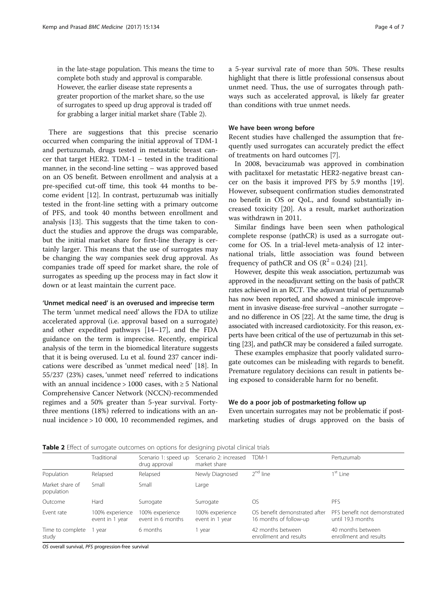in the late-stage population. This means the time to complete both study and approval is comparable. However, the earlier disease state represents a greater proportion of the market share, so the use of surrogates to speed up drug approval is traded off for grabbing a larger initial market share (Table 2).

There are suggestions that this precise scenario occurred when comparing the initial approval of TDM-1 and pertuzumab, drugs tested in metastatic breast cancer that target HER2. TDM-1 – tested in the traditional manner, in the second-line setting – was approved based on an OS benefit. Between enrollment and analysis at a pre-specified cut-off time, this took 44 months to become evident [[12\]](#page-5-0). In contrast, pertuzumab was initially tested in the front-line setting with a primary outcome of PFS, and took 40 months between enrollment and analysis [\[13\]](#page-5-0). This suggests that the time taken to conduct the studies and approve the drugs was comparable, but the initial market share for first-line therapy is certainly larger. This means that the use of surrogates may be changing the way companies seek drug approval. As companies trade off speed for market share, the role of surrogates as speeding up the process may in fact slow it down or at least maintain the current pace.

## 'Unmet medical need' is an overused and imprecise term

The term 'unmet medical need' allows the FDA to utilize accelerated approval (i.e. approval based on a surrogate) and other expedited pathways [[14](#page-5-0)–[17](#page-5-0)], and the FDA guidance on the term is imprecise. Recently, empirical analysis of the term in the biomedical literature suggests that it is being overused. Lu et al. found 237 cancer indications were described as 'unmet medical need' [[18\]](#page-5-0). In 55/237 (23%) cases, 'unmet need' referred to indications with an annual incidence > 1000 cases, with  $\geq$  5 National Comprehensive Cancer Network (NCCN)-recommended regimes and a 50% greater than 5-year survival. Fortythree mentions (18%) referred to indications with an annual incidence > 10 000, 10 recommended regimes, and a 5-year survival rate of more than 50%. These results highlight that there is little professional consensus about unmet need. Thus, the use of surrogates through pathways such as accelerated approval, is likely far greater than conditions with true unmet needs.

## We have been wrong before

Recent studies have challenged the assumption that frequently used surrogates can accurately predict the effect of treatments on hard outcomes [\[7\]](#page-5-0).

In 2008, bevacizumab was approved in combination with paclitaxel for metastatic HER2-negative breast cancer on the basis it improved PFS by 5.9 months [\[19](#page-5-0)]. However, subsequent confirmation studies demonstrated no benefit in OS or QoL, and found substantially increased toxicity [\[20](#page-5-0)]. As a result, market authorization was withdrawn in 2011.

Similar findings have been seen when pathological complete response (pathCR) is used as a surrogate outcome for OS. In a trial-level meta-analysis of 12 international trials, little association was found between frequency of pathCR and OS  $(R^2 = 0.24)$  [[21\]](#page-5-0).

However, despite this weak association, pertuzumab was approved in the neoadjuvant setting on the basis of pathCR rates achieved in an RCT. The adjuvant trial of pertuzumab has now been reported, and showed a miniscule improvement in invasive disease-free survival –another surrogate – and no difference in OS [\[22\]](#page-5-0). At the same time, the drug is associated with increased cardiotoxicity. For this reason, experts have been critical of the use of pertuzumab in this setting [\[23\]](#page-6-0), and pathCR may be considered a failed surrogate.

These examples emphasize that poorly validated surrogate outcomes can be misleading with regards to benefit. Premature regulatory decisions can result in patients being exposed to considerable harm for no benefit.

#### We do a poor job of postmarketing follow up

Even uncertain surrogates may not be problematic if postmarketing studies of drugs approved on the basis of

**Table 2** Effect of surrogate outcomes on options for designing pivotal clinical trials

|                               | Traditional                        | Scenario 1: speed up<br>drug approval | Scenario 2: increased<br>market share | TDM-1                                                   | Pertuzumab                                        |
|-------------------------------|------------------------------------|---------------------------------------|---------------------------------------|---------------------------------------------------------|---------------------------------------------------|
| Population                    | Relapsed                           | Relapsed                              | Newly Diagnosed                       | $2nd$ line                                              | 1 <sup>st</sup> Line                              |
| Market share of<br>population | Small                              | Small                                 | Large                                 |                                                         |                                                   |
| Outcome                       | Hard                               | Surrogate                             | Surrogate                             | <b>OS</b>                                               | PFS                                               |
| Event rate                    | 100% experience<br>event in 1 year | 100% experience<br>event in 6 months  | 100% experience<br>event in 1 year    | OS benefit demonstrated after<br>16 months of follow-up | PFS benefit not demonstrated<br>until 19.3 months |
| Time to complete<br>study     | vear                               | 6 months                              | 1 year                                | 42 months between<br>enrollment and results             | 40 months between<br>enrollment and results       |

OS overall survival, PFS progression-free survival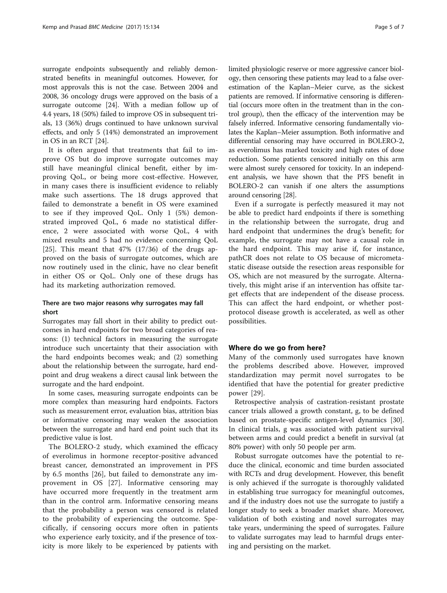surrogate endpoints subsequently and reliably demonstrated benefits in meaningful outcomes. However, for most approvals this is not the case. Between 2004 and 2008, 36 oncology drugs were approved on the basis of a surrogate outcome [[24](#page-6-0)]. With a median follow up of 4.4 years, 18 (50%) failed to improve OS in subsequent trials, 13 (36%) drugs continued to have unknown survival effects, and only 5 (14%) demonstrated an improvement in OS in an RCT [[24\]](#page-6-0).

It is often argued that treatments that fail to improve OS but do improve surrogate outcomes may still have meaningful clinical benefit, either by improving QoL, or being more cost-effective. However, in many cases there is insufficient evidence to reliably make such assertions. The 18 drugs approved that failed to demonstrate a benefit in OS were examined to see if they improved QoL. Only 1 (5%) demonstrated improved QoL, 6 made no statistical difference, 2 were associated with worse QoL, 4 with mixed results and 5 had no evidence concerning QoL [[25\]](#page-6-0). This meant that 47% (17/36) of the drugs approved on the basis of surrogate outcomes, which are now routinely used in the clinic, have no clear benefit in either OS or QoL. Only one of these drugs has had its marketing authorization removed.

## There are two major reasons why surrogates may fall short

Surrogates may fall short in their ability to predict outcomes in hard endpoints for two broad categories of reasons: (1) technical factors in measuring the surrogate introduce such uncertainty that their association with the hard endpoints becomes weak; and (2) something about the relationship between the surrogate, hard endpoint and drug weakens a direct causal link between the surrogate and the hard endpoint.

In some cases, measuring surrogate endpoints can be more complex than measuring hard endpoints. Factors such as measurement error, evaluation bias, attrition bias or informative censoring may weaken the association between the surrogate and hard end point such that its predictive value is lost.

The BOLERO-2 study, which examined the efficacy of everolimus in hormone receptor-positive advanced breast cancer, demonstrated an improvement in PFS by 6.5 months [\[26](#page-6-0)], but failed to demonstrate any improvement in OS [\[27](#page-6-0)]. Informative censoring may have occurred more frequently in the treatment arm than in the control arm. Informative censoring means that the probability a person was censored is related to the probability of experiencing the outcome. Specifically, if censoring occurs more often in patients who experience early toxicity, and if the presence of toxicity is more likely to be experienced by patients with limited physiologic reserve or more aggressive cancer biology, then censoring these patients may lead to a false overestimation of the Kaplan–Meier curve, as the sickest patients are removed. If informative censoring is differential (occurs more often in the treatment than in the control group), then the efficacy of the intervention may be falsely inferred. Informative censoring fundamentally violates the Kaplan–Meier assumption. Both informative and differential censoring may have occurred in BOLERO-2, as everolimus has marked toxicity and high rates of dose reduction. Some patients censored initially on this arm were almost surely censored for toxicity. In an independent analysis, we have shown that the PFS benefit in BOLERO-2 can vanish if one alters the assumptions around censoring [\[28\]](#page-6-0).

Even if a surrogate is perfectly measured it may not be able to predict hard endpoints if there is something in the relationship between the surrogate, drug and hard endpoint that undermines the drug's benefit; for example, the surrogate may not have a causal role in the hard endpoint. This may arise if, for instance, pathCR does not relate to OS because of micrometastatic disease outside the resection areas responsible for OS, which are not measured by the surrogate. Alternatively, this might arise if an intervention has offsite target effects that are independent of the disease process. This can affect the hard endpoint, or whether postprotocol disease growth is accelerated, as well as other possibilities.

## Where do we go from here?

Many of the commonly used surrogates have known the problems described above. However, improved standardization may permit novel surrogates to be identified that have the potential for greater predictive power [[29\]](#page-6-0).

Retrospective analysis of castration-resistant prostate cancer trials allowed a growth constant, g, to be defined based on prostate-specific antigen-level dynamics [\[30](#page-6-0)]. In clinical trials, g was associated with patient survival between arms and could predict a benefit in survival (at 80% power) with only 50 people per arm.

Robust surrogate outcomes have the potential to reduce the clinical, economic and time burden associated with RCTs and drug development. However, this benefit is only achieved if the surrogate is thoroughly validated in establishing true surrogacy for meaningful outcomes, and if the industry does not use the surrogate to justify a longer study to seek a broader market share. Moreover, validation of both existing and novel surrogates may take years, undermining the speed of surrogates. Failure to validate surrogates may lead to harmful drugs entering and persisting on the market.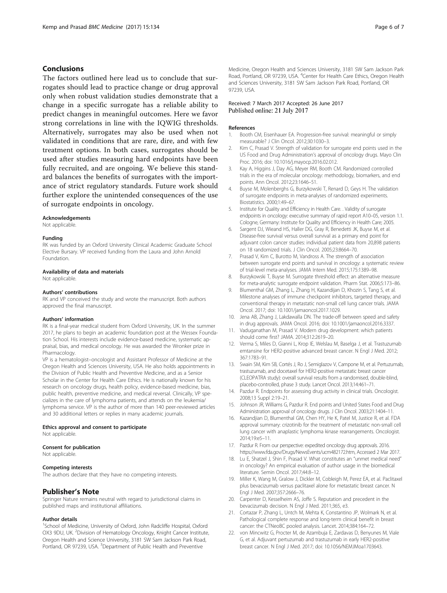## <span id="page-5-0"></span>Conclusions

The factors outlined here lead us to conclude that surrogates should lead to practice change or drug approval only when robust validation studies demonstrate that a change in a specific surrogate has a reliable ability to predict changes in meaningful outcomes. Here we favor strong correlations in line with the IQWIG thresholds. Alternatively, surrogates may also be used when not validated in conditions that are rare, dire, and with few treatment options. In both cases, surrogates should be used after studies measuring hard endpoints have been fully recruited, and are ongoing. We believe this standard balances the benefits of surrogates with the importance of strict regulatory standards. Future work should further explore the unintended consequences of the use of surrogate endpoints in oncology.

#### Acknowledgements

Not applicable.

#### Funding

RK was funded by an Oxford University Clinical Academic Graduate School Elective Bursary. VP received funding from the Laura and John Arnold Foundation.

## Availability of data and materials

Not applicable

#### Authors' contributions

RK and VP conceived the study and wrote the manuscript. Both authors approved the final manuscript.

#### Authors' information

RK is a final-year medical student from Oxford University, UK. In the summer 2017, he plans to begin an academic foundation post at the Wessex Foundation School. His interests include evidence-based medicine, systematic appraisal, bias, and medical oncology. He was awarded the Wronker prize in Pharmacology.

VP is a hematologist–oncologist and Assistant Professor of Medicine at the Oregon Health and Sciences University, USA. He also holds appointments in the Division of Public Health and Preventive Medicine, and as a Senior Scholar in the Center for Health Care Ethics. He is nationally known for his research on oncology drugs, health policy, evidence-based medicine, bias, public health, preventive medicine, and medical reversal. Clinically, VP specializes in the care of lymphoma patients, and attends on the leukemia/ lymphoma service. VP is the author of more than 140 peer-reviewed articles and 30 additional letters or replies in many academic journals.

#### Ethics approval and consent to participate

Not applicable.

#### Consent for publication

Not applicable.

#### Competing interests

The authors declare that they have no competing interests.

#### Publisher's Note

Springer Nature remains neutral with regard to jurisdictional claims in published maps and institutional affiliations.

#### Author details

<sup>1</sup>School of Medicine, University of Oxford, John Radcliffe Hospital, Oxford OX3 9DU, UK. <sup>2</sup>Division of Hematology Oncology, Knight Cancer Institute, Oregon Health and Science University, 3181 SW Sam Jackson Park Road, Portland, OR 97239, USA. <sup>3</sup>Department of Public Health and Preventive

Medicine, Oregon Health and Sciences University, 3181 SW Sam Jackson Park Road, Portland, OR 97239, USA. <sup>4</sup> Center for Health Care Ethics, Oregon Health and Sciences University, 3181 SW Sam Jackson Park Road, Portland, OR 97239, USA.

## Received: 7 March 2017 Accepted: 26 June 2017 Published online: 21 July 2017

#### References

- 1. Booth CM, Eisenhauer EA. Progression-free survival: meaningful or simply measurable? J Clin Oncol. 2012;30:1030–3.
- 2. Kim C, Prasad V. Strength of validation for surrogate end points used in the US Food and Drug Administration's approval of oncology drugs. Mayo Clin Proc. 2016; doi: [10.1016/j.mayocp.2016.02.012.](http://dx.doi.org/10.1016/j.mayocp.2016.02.012)
- 3. Kay A, Higgins J, Day AG, Meyer RM, Booth CM. Randomized controlled trials in the era of molecular oncology: methodology, biomarkers, and end points. Ann Oncol. 2012;23:1646–51.
- 4. Buyse M, Molenberghs G, Burzykowski T, Renard D, Geys H. The validation of surrogate endpoints in meta-analyses of randomized experiments. Biostatistics. 2000;1:49–67.
- 5. Institute for Quality and Efficiency in Health Care. . Validity of surrogate endpoints in oncology: executive summary of rapid report A10–05, version 1.1. Cologne, Germany: Institute for Quality and Efficiency in Health Care; 2005.
- 6. Sargent DJ, Wieand HS, Haller DG, Gray R, Benedetti JK, Buyse M, et al. Disease-free survival versus overall survival as a primary end point for adjuvant colon cancer studies: individual patient data from 20,898 patients on 18 randomized trials. J Clin Oncol. 2005;23:8664–70.
- 7. Prasad V, Kim C, Burotto M, Vandross A. The strength of association between surrogate end points and survival in oncology: a systematic review of trial-level meta-analyses. JAMA Intern Med. 2015;175:1389–98.
- 8. Burzykowski T, Buyse M. Surrogate threshold effect: an alternative measure for meta-analytic surrogate endpoint validation. Pharm Stat. 2006;5:173–86.
- 9. Blumenthal GM, Zhang L, Zhang H, Kazandijan D, Khozin S, Tang S, et al. Milestone analyses of immune checkpoint inhibitors, targeted therapy, and conventional therapy in metastatic non-small cell lung cancer trials. JAMA Oncol. 2017; doi: [10.1001/jamaoncol.2017.1029.](http://dx.doi.org/10.1001/jamaoncol.2017.1029)
- 10. Jena AB, Zhang J, Lakdawalla DN. The trade-off between speed and safety in drug approvals. JAMA Oncol. 2016; doi: [10.1001/jamaoncol.2016.3337.](http://dx.doi.org/10.1001/jamaoncol.2016.3337)
- 11. Vaduganathan M, Prasad V. Modern drug development: which patients should come first? JAMA. 2014;312:2619–20.
- 12. Verma S, Miles D, Gianni L, Krop IE, Welslau M, Baselga J, et al. Trastuzumab emtansine for HER2-positive advanced breast cancer. N Engl J Med. 2012; 367:1783–91.
- 13. Swain SM, Kim SB, Cortés J, Ro J, Semiglazov V, Campone M, et al. Pertuzumab, trastuzumab, and docetaxel for HER2-positive metastatic breast cancer (CLEOPATRA study): overall survival results from a randomised, double-blind, placebo-controlled, phase 3 study. Lancet Oncol. 2013;14:461–71.
- 14. Pazdur R. Endpoints for assessing drug activity in clinical trials. Oncologist. 2008;13 Suppl 2:19–21.
- 15. Johnson JR, Williams G, Pazdur R. End points and United States Food and Drug Administration approval of oncology drugs. J Clin Oncol. 2003;21:1404–11.
- 16. Kazandjian D, Blumenthal GM, Chen HY, He K, Patel M, Justice R, et al. FDA approval summary: crizotinib for the treatment of metastatic non-small cell lung cancer with anaplastic lymphoma kinase rearrangements. Oncologist. 2014;19:e5–11.
- 17. Pazdur R. From our perspective: expedited oncology drug approvals. 2016. [https://www.fda.gov/Drugs/NewsEvents/ucm482172.htm,](https://www.fda.gov/Drugs/NewsEvents/ucm482172.htm) Accessed 2 Mar 2017.
- 18. Lu E, Shatzel J, Shin F, Prasad V. What constitutes an "unmet medical need" in oncology? An empirical evaluation of author usage in the biomedical literature. Semin Oncol. 2017;44:8–12.
- 19. Miller K, Wang M, Gralow J, Dickler M, Cobleigh M, Perez EA, et al. Paclitaxel plus bevacizumab versus paclitaxel alone for metastatic breast cancer. N Engl J Med. 2007;357:2666–76.
- 20. Carpenter D, Kesselheim AS, Joffe S. Reputation and precedent in the bevacizumab decision. N Engl J Med. 2011;365, e3.
- 21. Cortazar P, Zhang L, Untch M, Mehta K, Constantino JP, Wolmark N, et al. Pathological complete response and long-term clinical benefit in breast cancer: the CTNeoBC pooled analysis. Lancet. 2014;384:164–72.
- 22. von Mincwitz G, Procter M, de Azambuja E, Zardavas D, Benyunes M, Viale G, et al. Adjuvant pertuzumab and trastuzumab in early HER2-positive breast cancer. N Engl J Med. 2017; doi: [10.1056/NEMJMoa1703643.](http://dx.doi.org/10.1056/NEMJMoa1703643)